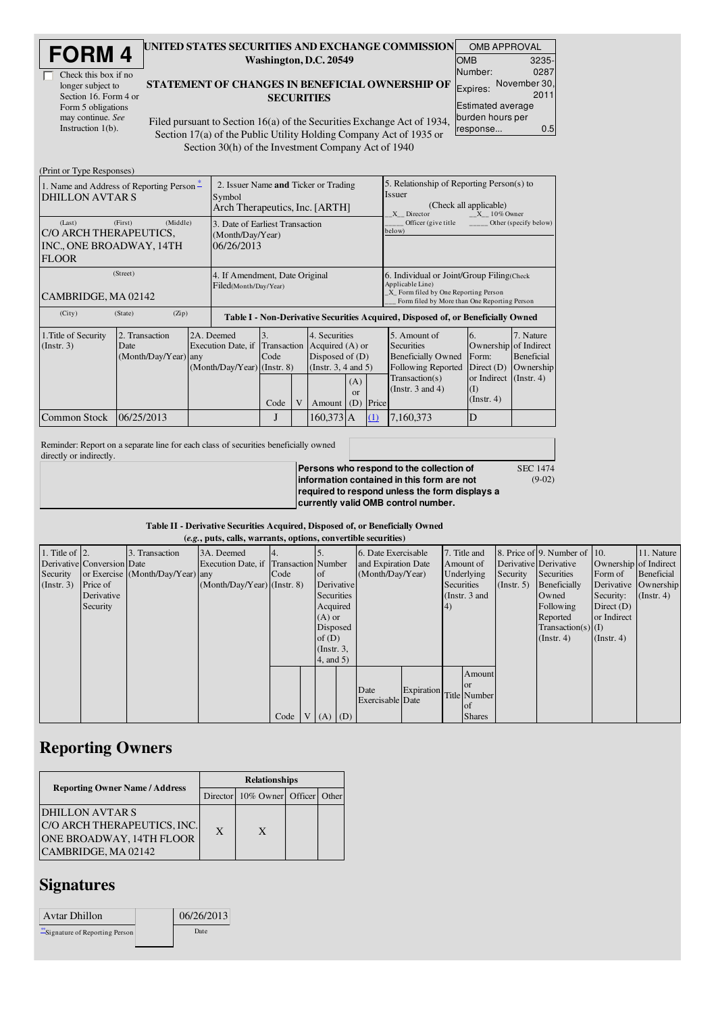| <b>DRM</b>           |  |
|----------------------|--|
| Check this box if no |  |

longer subject to Section 16. Form 4 or Form 5 obligations may continue. *See* Instruction  $1(b)$ .

 $(D_{\text{wint, or True}})$ 

#### UNITED STATES SECURITIES AND EXCHANGE COMMISSION Washington, D.C. 20549

#### STATEMENT OF CHANGES IN BENEFICIAL OWNERSHIP OF **SECURITIES**

OMB APPROVAL OMB Number: 3235- 0287 Expires: November 30, 2011 Estimated average burden hours per response... 0.5

(9-02)

Filed pursuant to Section 16(a) of the Securities Exchange Act of 1934, Section 17(a) of the Public Utility Holding Company Act of 1935 or Section 30(h) of the Investment Company Act of 1940

| $(1 \text{ min of 1})\mu\text{ K}$<br>1. Name and Address of Reporting Person –<br><b>DHILLON AVTARS</b> |                                                |  | 2. Issuer Name and Ticker or Trading<br>Symbol<br>Arch Therapeutics, Inc. [ARTH] |                                                                                  |                |                                                                                               |                        |          | 5. Relationship of Reporting Person(s) to<br><i>Issuer</i><br>(Check all applicable)<br>$X = 10\%$ Owner<br>X Director                                   |                                                                                                                      |                                             |  |  |
|----------------------------------------------------------------------------------------------------------|------------------------------------------------|--|----------------------------------------------------------------------------------|----------------------------------------------------------------------------------|----------------|-----------------------------------------------------------------------------------------------|------------------------|----------|----------------------------------------------------------------------------------------------------------------------------------------------------------|----------------------------------------------------------------------------------------------------------------------|---------------------------------------------|--|--|
| (Last)<br>C/O ARCH THERAPEUTICS,<br>INC., ONE BROADWAY, 14TH<br><b>FLOOR</b>                             | (First)<br>(Middle)                            |  | 3. Date of Earliest Transaction<br>(Month/Day/Year)<br>06/26/2013                |                                                                                  |                |                                                                                               |                        |          | Officer (give title<br>below)                                                                                                                            |                                                                                                                      | Other (specify below)                       |  |  |
| (Street)<br>CAMBRIDGE, MA 02142                                                                          |                                                |  | 4. If Amendment, Date Original<br>Filed(Month/Day/Year)                          |                                                                                  |                |                                                                                               |                        |          | 6. Individual or Joint/Group Filing (Check)<br>Applicable Line)<br>X_ Form filed by One Reporting Person<br>Form filed by More than One Reporting Person |                                                                                                                      |                                             |  |  |
| (City)                                                                                                   | (Zip)<br>(State)                               |  |                                                                                  | Table I - Non-Derivative Securities Acquired, Disposed of, or Beneficially Owned |                |                                                                                               |                        |          |                                                                                                                                                          |                                                                                                                      |                                             |  |  |
| 1. Title of Security<br>(Instr. 3)                                                                       | 2. Transaction<br>Date<br>(Month/Day/Year) any |  | 2A. Deemed<br>Execution Date, if Transaction<br>$(Month/Day/Year)$ (Instr. 8)    | 3.<br>Code<br>Code                                                               | $\overline{V}$ | 4. Securities<br>Acquired $(A)$ or<br>Disposed of $(D)$<br>(Instr. $3, 4$ and $5$ )<br>Amount | (A)<br>$\alpha$<br>(D) | Price    | 5. Amount of<br><b>Securities</b><br><b>Beneficially Owned</b><br>Following Reported<br>Transaction(s)<br>(Instr. $3$ and $4$ )                          | 6.<br>Ownership of Indirect<br>Form:<br>Direct $(D)$<br>or Indirect $($ Instr. 4 $)$<br>$\rm(I)$<br>$($ Instr. 4 $)$ | 7. Nature<br><b>Beneficial</b><br>Ownership |  |  |
| <b>Common Stock</b>                                                                                      | 06/25/2013                                     |  |                                                                                  | $\cdot$                                                                          |                | 160,373 A                                                                                     |                        | $\Omega$ | 7,160,373                                                                                                                                                | D                                                                                                                    |                                             |  |  |

Reminder: Report on a separate line for each class of securities beneficially owned directly or indirectly.

**Persons who respond to the collection of information contained in this form are not required to respond unless the form displays a currently valid OMB control number.** SEC 1474

### Table II - Derivative Securities Acquired, Disposed of, or Beneficially Owned

|                        |                            |                                  | (e.g., puts, calls, warrants, options, convertible securities) |      |           |                 |                         |                         |     |                 |            |                              |                       |                  |
|------------------------|----------------------------|----------------------------------|----------------------------------------------------------------|------|-----------|-----------------|-------------------------|-------------------------|-----|-----------------|------------|------------------------------|-----------------------|------------------|
| 1. Title of $\vert$ 2. |                            | 3. Transaction                   | 3A. Deemed                                                     |      |           |                 | 6. Date Exercisable     |                         |     | 7. Title and    |            | 8. Price of 9. Number of 10. |                       | 11. Nature       |
|                        | Derivative Conversion Date |                                  | Execution Date, if Transaction Number                          |      |           |                 | and Expiration Date     |                         |     | Amount of       |            | Derivative Derivative        | Ownership of Indirect |                  |
| Security               |                            | or Exercise (Month/Day/Year) any |                                                                | Code | <b>of</b> |                 | (Month/Day/Year)        |                         |     | Underlying      | Security   | Securities                   | Form of               | Beneficial       |
| (Instr. 3)             | Price of                   |                                  | $(Month/Day/Year)$ (Instr. 8)                                  |      |           | Derivative      |                         |                         |     | Securities      | (Instr. 5) | Beneficially                 | Derivative Ownership  |                  |
|                        | Derivative                 |                                  |                                                                |      |           | Securities      |                         |                         |     | (Instr. $3$ and |            | Owned                        | Security:             | $($ Instr. 4 $)$ |
|                        | Security                   |                                  |                                                                |      |           | Acquired        |                         |                         | (4) |                 |            | Following                    | Direct $(D)$          |                  |
|                        |                            |                                  |                                                                |      |           | $(A)$ or        |                         |                         |     |                 |            | Reported                     | or Indirect           |                  |
|                        |                            |                                  |                                                                |      |           | Disposed        |                         |                         |     |                 |            | $Transaction(s)$ (I)         |                       |                  |
|                        |                            |                                  |                                                                |      |           | of $(D)$        |                         |                         |     |                 |            | (Instr. 4)                   | $($ Instr. 4 $)$      |                  |
|                        |                            |                                  |                                                                |      |           | $($ Instr. $3,$ |                         |                         |     |                 |            |                              |                       |                  |
|                        |                            |                                  |                                                                |      |           | 4, and 5)       |                         |                         |     |                 |            |                              |                       |                  |
|                        |                            |                                  |                                                                |      |           |                 |                         |                         |     | Amount          |            |                              |                       |                  |
|                        |                            |                                  |                                                                |      |           |                 |                         |                         |     | <b>or</b>       |            |                              |                       |                  |
|                        |                            |                                  |                                                                |      |           |                 | Date                    | Expiration Title Number |     |                 |            |                              |                       |                  |
|                        |                            |                                  |                                                                |      |           |                 | <b>Exercisable</b> Date |                         |     | of              |            |                              |                       |                  |
|                        |                            |                                  |                                                                | Code |           | $V(A)$ (D)      |                         |                         |     | <b>Shares</b>   |            |                              |                       |                  |

## Reporting Owners

|                                                                                                   | <b>Relationships</b> |                                  |  |  |  |  |  |
|---------------------------------------------------------------------------------------------------|----------------------|----------------------------------|--|--|--|--|--|
| <b>Reporting Owner Name / Address</b>                                                             |                      | Director 10% Owner Officer Other |  |  |  |  |  |
| DHILLON AVTAR S<br>C/O ARCH THERAPEUTICS, INC.<br>ONE BROADWAY, 14TH FLOOR<br>CAMBRIDGE, MA 02142 | X                    | X                                |  |  |  |  |  |

# **Signatures**

| Avtar Dhillon                  | 06/26/2013 |
|--------------------------------|------------|
| "Signature of Reporting Person | Date       |